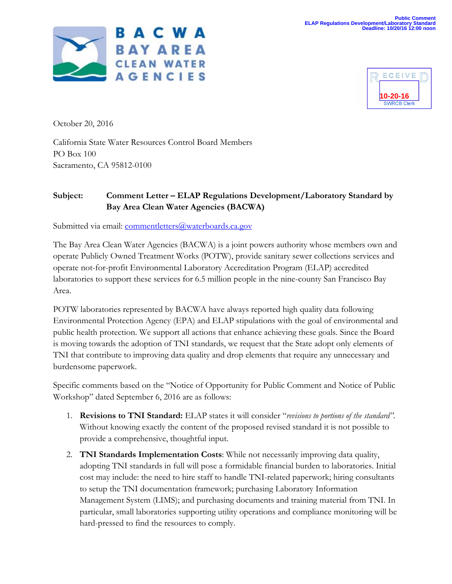



October 20, 2016

California State Water Resources Control Board Members PO Box 100 Sacramento, CA 95812-0100

## **Subject: Comment Letter – ELAP Regulations Development/Laboratory Standard by Bay Area Clean Water Agencies (BACWA)**

Submitted via email: commentletters@waterboards.ca.gov

The Bay Area Clean Water Agencies (BACWA) is a joint powers authority whose members own and operate Publicly Owned Treatment Works (POTW), provide sanitary sewer collections services and operate not-for-profit Environmental Laboratory Accreditation Program (ELAP) accredited laboratories to support these services for 6.5 million people in the nine-county San Francisco Bay Area.

POTW laboratories represented by BACWA have always reported high quality data following Environmental Protection Agency (EPA) and ELAP stipulations with the goal of environmental and public health protection. We support all actions that enhance achieving these goals. Since the Board is moving towards the adoption of TNI standards, we request that the State adopt only elements of TNI that contribute to improving data quality and drop elements that require any unnecessary and burdensome paperwork.

Specific comments based on the "Notice of Opportunity for Public Comment and Notice of Public Workshop" dated September 6, 2016 are as follows:

- 1. **Revisions to TNI Standard:** ELAP states it will consider "*revisions to portions of the standard"*. Without knowing exactly the content of the proposed revised standard it is not possible to provide a comprehensive, thoughtful input.
- 2. **TNI Standards Implementation Costs**: While not necessarily improving data quality, adopting TNI standards in full will pose a formidable financial burden to laboratories. Initial cost may include: the need to hire staff to handle TNI-related paperwork; hiring consultants to setup the TNI documentation framework; purchasing Laboratory Information Management System (LIMS); and purchasing documents and training material from TNI. In particular, small laboratories supporting utility operations and compliance monitoring will be hard-pressed to find the resources to comply.